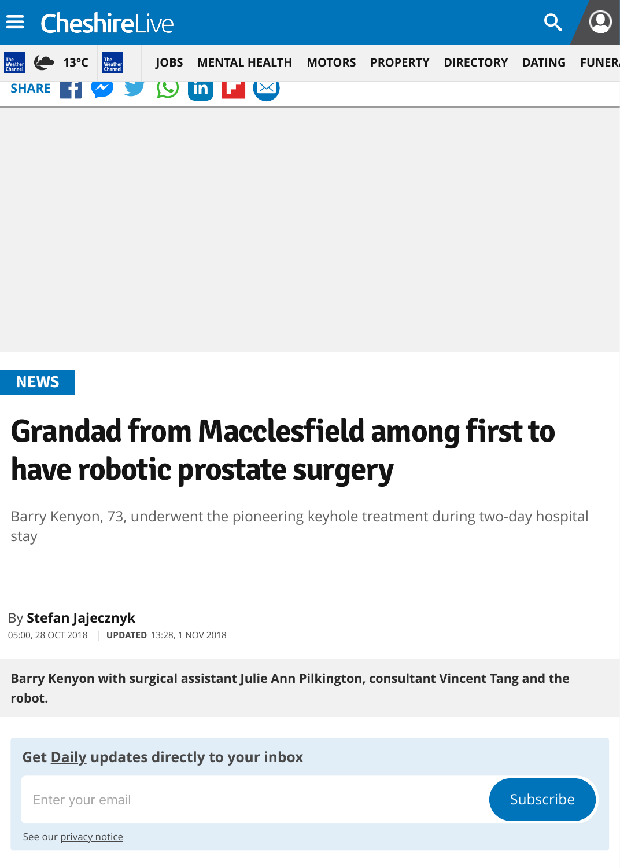# **NEWS**

# **Grandad from Macclesfield among first to have robotic prostate surgery**

Barry Kenyon, 73, underwent the pioneering keyhole treatment during two-day h [stay](https://www.cheshire-live.co.uk/news/)

By **Stefan Jajecznyk** 05:00, 28 OCT 2018 **UPDATED** 13:28, 1 NOV 2018

**Barry Kenyon with surgical assistant Julie Ann Pilkington, consultant Vincent Tang and robot.**

**Get Daily updates directly to your inbox**

Enter your email Subscribe and the subscribe of the Subscribe and Subscribe and Subscribe and Subscribe and Subscribe and Subscribe and Subscribe and Subscribe and Subscribe and Subscribe and Subscribe and Subscribe and Su

See our privacy notice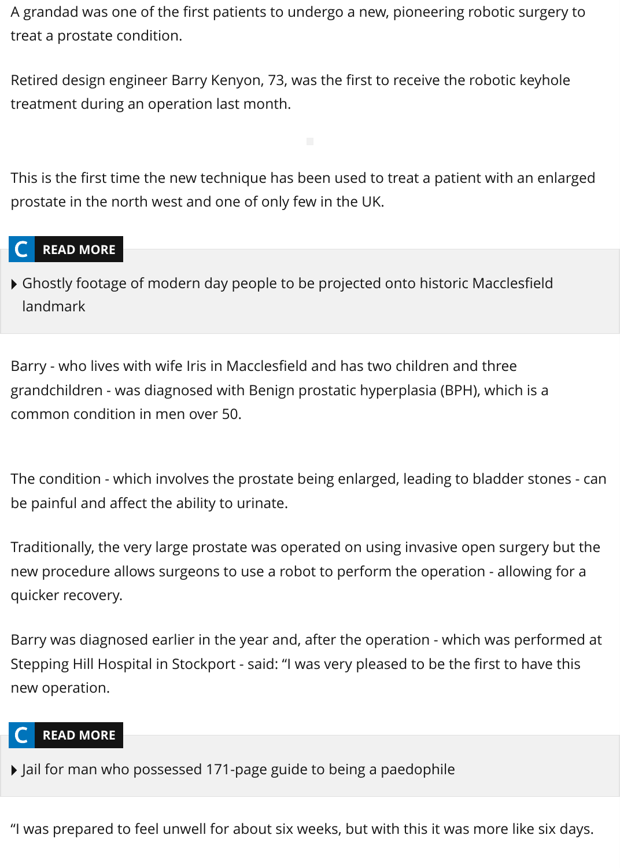This is the first time the new technique has been used to treat a patient with an  $\epsilon$ prostate in the north west and one of only few in the UK.

# **READ MORE**

Ghostly footage of modern day people to be projected onto historic Macclesfield landmark

Barry - who lives with wife Iris in Macclesfield and has two children and three grandchildren - was diagnosed with Benign prostatic hyperplasia (BPH), which is a common condition in men over 50.

The condition - which involves the prostate being enlarged, leading to bladder sto be painful and affect the ability to urinate.

Traditionally, the very large prostate was operated on using invasive open surger new procedure allows surgeons to use a robot to perform the operation - allowin quicker recovery.

Barry was diagnosed earlier in the year and, after the operation - which was perform Stepping Hill Hospital in Stockport - said: "I was very pleased to be the first to hav new operation.

# **READ MORE**

Jail for man who possessed 171-page guide to being a paedophile

"I was prepared to feel unwell for about six weeks, but with this it was more like s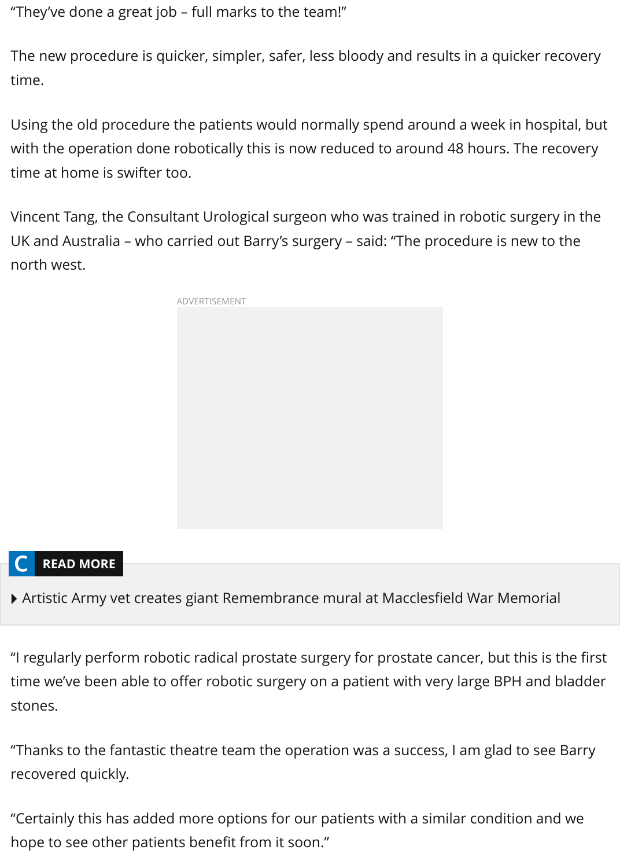time at home is swifter too.

Vincent Tang, the Consultant Urological surgeon who was trained in robotic surger UK and Australia – who carried out Barry's surgery – said: "The procedure is new north west.



# **READ MORE**

Artistic Army vet creates giant Remembrance mural at Macclesfield War Memorial

"I regularly perform robotic radical prostate surgery for prostate cancer, but this in time we've been able to offer robotic surgery on a patient with very large BPH an stones.

"Thanks to the fantastic theatre team the operation was a success, I am glad to se recovered quickly.

"Certainly this has added more options for our patients with a similar condition a hope to see other patients benefit from it soon."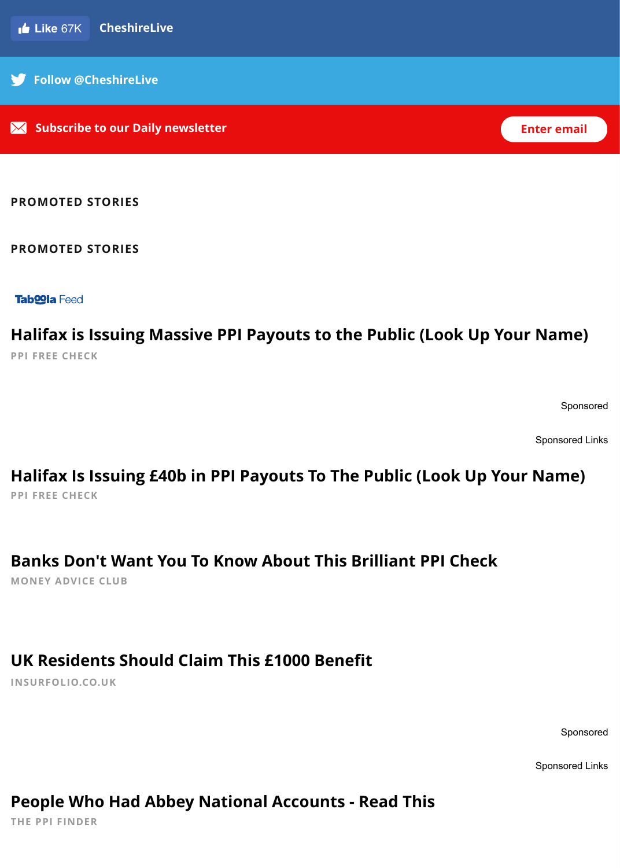#### **PROMOTED STORIES**

#### **PROMOTED STORIES**

**Tab<br />
Tab<br />
COI<br />
B<br />
Tab<br />
COI<br />
B<br />
L<br />
Tab<br />
COI<br />
B<br />
L<br />
Tab<br />
COI<br />
a<br />
Feed<br />
Let <br />
Let <br />
Let <br />
Let <br />
Let <br />
Let <br />
Let <b** 

**PPI FREE CHECK Halifax is Issuing Massive PPI Payouts to the Public (Look Up Your Name)** 

 $\mathsf{s}_\mathsf{I}$ 

 $\mathsf{s}_\mathsf{I}$ 

**PPI FREE CHECK Halifax Is Issuing £40b in PPI Payouts To The Public (Look Up Your N** 

**MONEY ADVICE CLUB Banks Don't Want You To Know About This Brilliant PPI Check**

### **[UK Residents Should Claim This £1000 Bene](http://adtopia.club/native/track.php?acid=56&acsrc=1&acacnt=TABOOLA1TCG&cid=1494306&crvid=133535351&pubid=tmg-chesterchronicle&ts=2018-12-02+19%3A35%3A52&title=Halifax+Is+Issuing+%C2%A340b+in+PPI+Payouts+To+The+Public+%28Look+Up+Your+Name%29&platform=Desktop&click_id=CjBmZGFjNTBkOC1iYjBlLTRkYmQtYWQ2NS1kZGExZDhlYTkxYTItdHVjdDJmYTVmMTESE2ltc2xhYnMtcXVpY2twcGktc2M&utm_source=taboola&utm_medium=referral)fit**

**INSURFOLIO.CO.UK**

# **[People Who Had Abbey National Accounts - Read This](http://t1.tkzio.com/cee71a0f-ec34-4d67-8326-5d345bee5220?site=tmg-chesterchronicle&title=UK+Residents+Should+Claim+This+%C2%A31000+Benefit&thumbnail=http%3A%2F%2Fcdn.taboola.com%2Flibtrc%2Fstatic%2Fthumbnails%2Fec43f191cc4eda9417937aa5b027434e.jpg&campaign=UKLife_Premium_Desktop_Nov1_Other&utm_content=138561293)**

**THE PPI FINDER**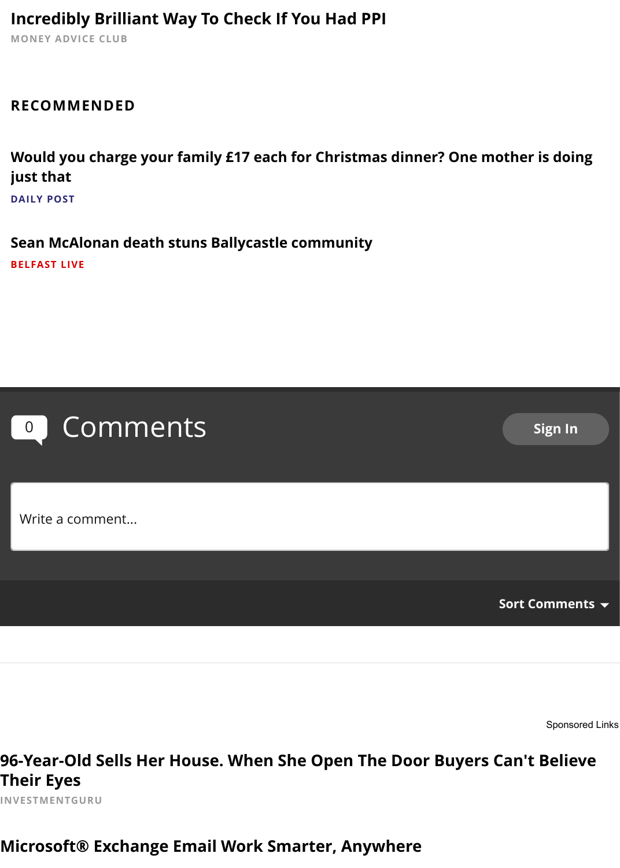### **Would you charge your family £17 each for Christmas dinner? One mother is doing just that DAILY POST**

**[Sean McAlonan death stuns Ballycastle community](http://digitalclam.co.uk/?c=4598&a=929&s3=CjBmZGFjNTBkOC1iYjBlLTRkYmQtYWQ2NS1kZGExZDhlYTkxYTItdHVjdDJmYTVmMTESF2RpZ2l0YWxveXN0ZXItbWNicHBpLXNj&s2=59815f%7Ctmg-chesterchronicle&s1=TB_PPI_MCB_SMARTBID) BELFAST LIVE**



**96-Year-Old Sells Her House. When She Open The Door Buyers Can't I Their Eyes**

**INVESTMENTGURU**

# **Microsoft® Exchange Email Work Smarter, Anywhere**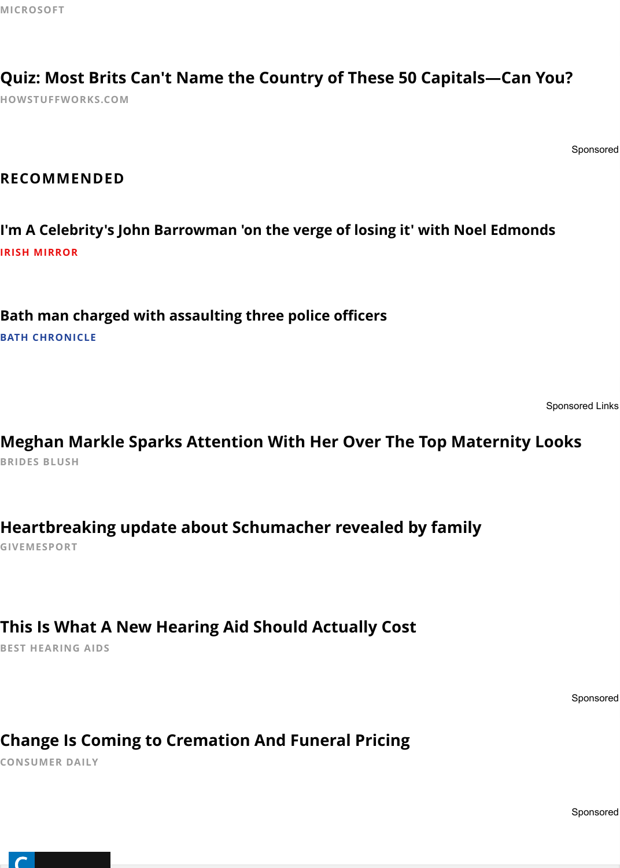### **[RECOMMENDED](https://ad.doubleclick.net/ddm/trackclk/N572608.1006845TABOOLA.COM/B21749121.230163072;dc_trk_aid=427917240;dc_trk_cid=106510825;dc_lat=;dc_rdid=;tag_for_child_directed_treatment=;tfua=?utm_source=taboola&utm_medium=referral)**

**I'm A Celebrity's John Barrowman 'on the verge of losing it' with Noel Edmond IRISH MIRROR**

**Bath man charged with assaulting three police officers**

**BATH CHRONICLE**

**BRIDES BLUSH Meghan Markle Sparks Attention With Her Over The Top Maternity L** 

**GIVEMESPORT [Heartbreaking update about Schumacher revealed by family](https://www.somersetlive.co.uk/in-your-area/bath-man-charged-assaulting-three-2266079?utm_source=taboola&utm_medium=display&utm_campaign=exchange)**

# **[This Is What A New Hearing Aid Should Actually Cost](http://70ckkfdk.bridesblush.com/fashion/meghan-markle-style-tb?utm_campaign=Meghan%20Style%20V1%20TEHILA%20-%20Desktop%20GBR&utm_source=taboola&utm_medium=tmg-chesterchronicle&utm_term=Meghan+Markle+Sparks+Attention+With+Her+Over+The+Top+Maternity+Looks&utm_content=https%3A%2F%2Fprod-pubplus-uploads.s3.amazonaws.com%2Fee637eb5-e8f7-460a-ad21-257e80a95364.jpg)**

**BEST HEARING AIDS**

# **[Change Is Coming to Cremation And Funeral Pricing](https://www.givemesport.com/1377974-family-member-of-michael-schumacher-reveals-he-often-cries-when-he-sees-beauty-at-home?autoplay=on&utm_source=taboola&utm_medium=taboola-rss-feed)**

**CONSUMER DAILY**

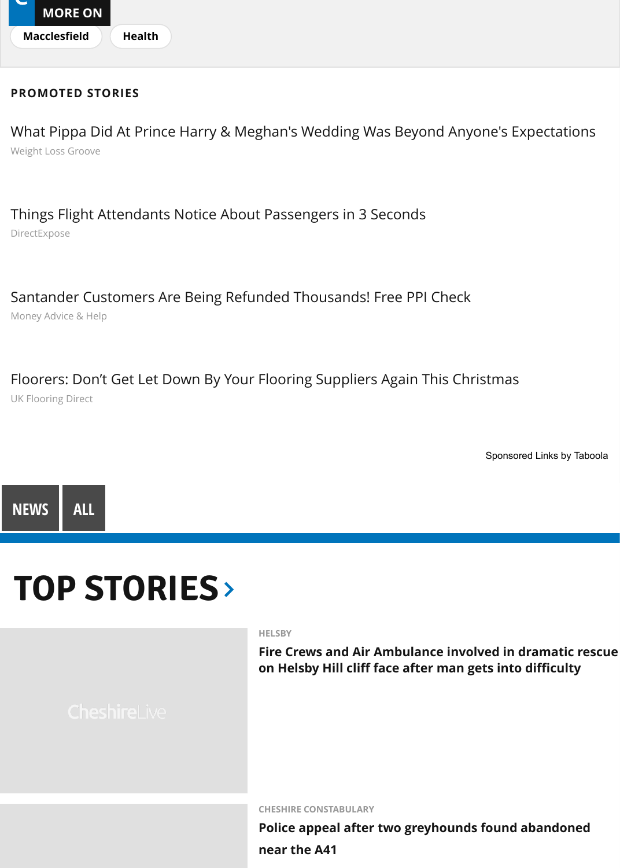### DirectExpose [Things Flight A](https://www.cheshire-live.co.uk/all-about/macclesfield)[ttendants](https://www.cheshire-live.co.uk/all-about/health) Notice About Passengers in 3 Seconds

Money Advice & Help [Santander Customers Are Being Refunded Thousands! Free PPI Check](http://weightlossgroove.com/iconic-photos-from-the-royal-wedding/?utm_source=taboola&utm_medium=tmg-chesterchronicle&utm_campaign=1466700&utm_term=What+Pippa+Did+At+Prince+Harry+%26+Meghan%27s+Wedding+Was+Beyond+Anyone%27s+Expectations)

UK Flooring Direct [Floorers: Don't Get Let Down By Your Flooring Suppliers Again This Christmas](http://www.directexpose.com/flight-attendants-reveal-flight-secrets/?utm_source=talas&utm_campaign=Ma_TS_DE_UK_D_FlightAttendants_v2_0609-Things+Flight+Attendants+Notice+About+Passengers+in+3+Seconds-https%3A%2F%2Fstorage.googleapis.com%2Fcaw-uploads%2Fa3e9dc08-3df5-4804-b4d5-dec0161fa44a.jpg&utm_term=tmg-chesterchronicle&utm_medium=Ma_TS_DE_UK_D_FlightAttendants_v2_0609&utm_content=newnext)

Sponsored Li



# **[TOP STORIES](https://www.ukflooringdirect.co.uk/trade-christmas?utm_source=taboola&utm_medium=display&utm_campaign=Taboola-Display-Trade-Native_Content-November_Test-Desktop&utm_content=tmg-chesterchronicle&utm_term=138009456)**

**HELSBY**

**Fire Crews and Air Ambulance involved in drare on Helsby Hill cliff face after man gets into dif-**

**CHESHIRE CONSTABULARY**

**Police appeal after two greyhounds found aba** 

**near the A41**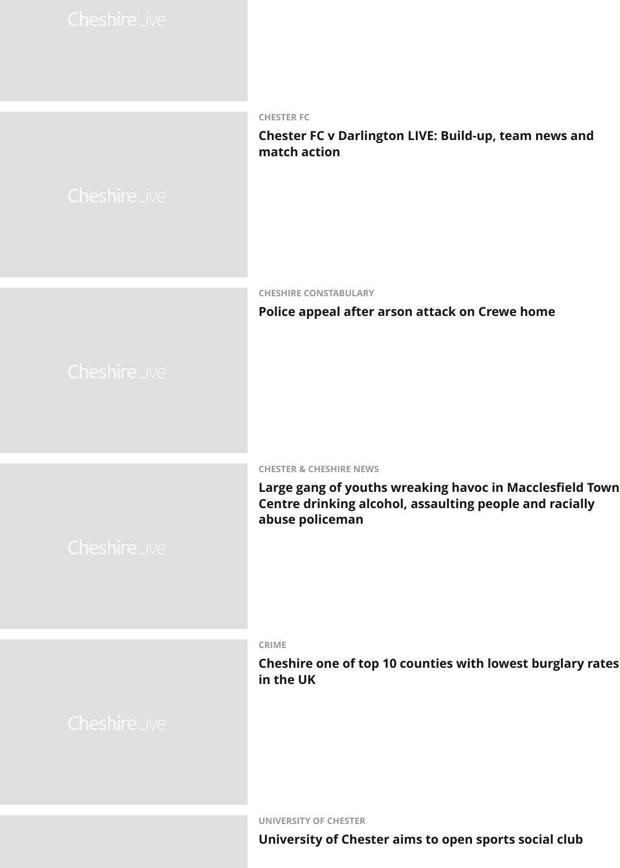**CHESHIRE CONSTABULARY**

#### **Police appeal after arson attack on Crewe hon**

#### **[CHESTER & CHESHIRE NEWS](https://www.cheshire-live.co.uk/news/chester-cheshire-news/police-appeal-after-arson-attack-15494766)**

Large gang of youths wreaking havoc in Maccl **Centre drinking alcohol, assaulting people and abuse policeman**

#### **CRIME**

**Cheshire one of top 10 counties with lowest bu in the UK**



**UNIVERSITY OF CHESTER**

**University of Chester aims to open sports soci**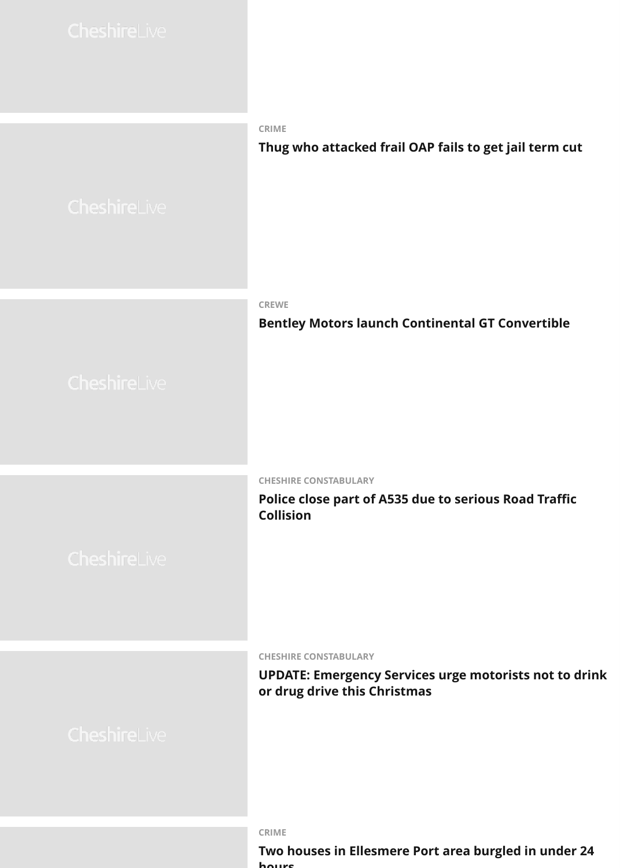**CREWE**

### **[Bentley Motors launch Continental GT Convertible](https://www.cheshire-live.co.uk/news/chester-cheshire-news/thug-who-attacked-frail-oap-15488563)s**

#### **[CHESHIRE CONSTABULARY](https://www.cheshire-live.co.uk/news/chester-cheshire-news/bentley-motors-launch-continental-gt-15492513)**

**Police close part of A535 due to serious Road T Collision**

**CHESHIRE CONSTABULARY**

### **UPDATE: Emergency Services urge motorists no or drug drive this Christmas**

#### **CRIME**

#### **Two houses in Ellesmere Port area burgled in under hours**